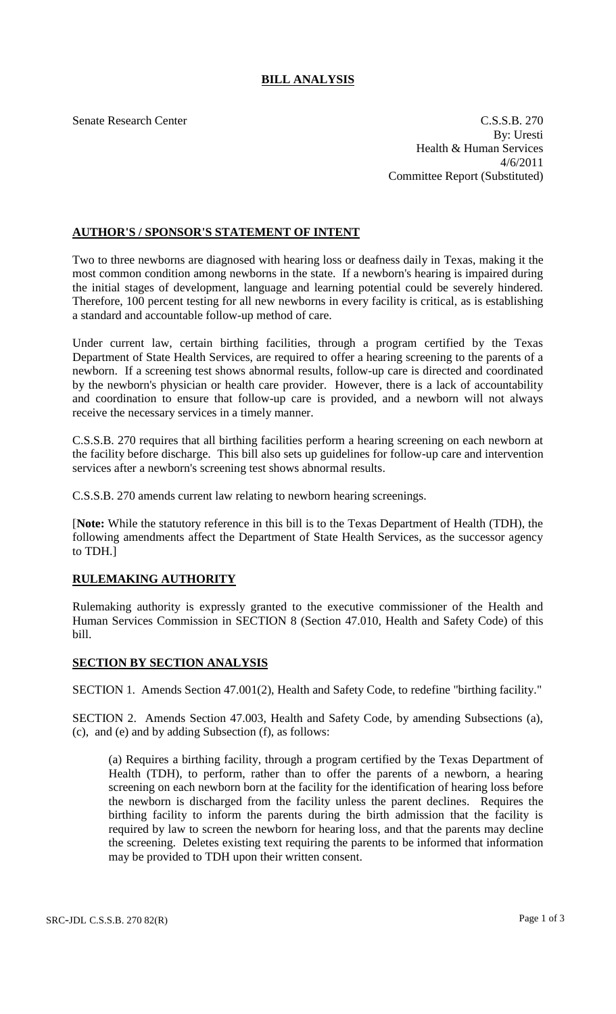## **BILL ANALYSIS**

Senate Research Center C.S.S.B. 270 By: Uresti Health & Human Services 4/6/2011 Committee Report (Substituted)

## **AUTHOR'S / SPONSOR'S STATEMENT OF INTENT**

Two to three newborns are diagnosed with hearing loss or deafness daily in Texas, making it the most common condition among newborns in the state. If a newborn's hearing is impaired during the initial stages of development, language and learning potential could be severely hindered. Therefore, 100 percent testing for all new newborns in every facility is critical, as is establishing a standard and accountable follow-up method of care.

Under current law, certain birthing facilities, through a program certified by the Texas Department of State Health Services, are required to offer a hearing screening to the parents of a newborn. If a screening test shows abnormal results, follow-up care is directed and coordinated by the newborn's physician or health care provider. However, there is a lack of accountability and coordination to ensure that follow-up care is provided, and a newborn will not always receive the necessary services in a timely manner.

C.S.S.B. 270 requires that all birthing facilities perform a hearing screening on each newborn at the facility before discharge. This bill also sets up guidelines for follow-up care and intervention services after a newborn's screening test shows abnormal results.

C.S.S.B. 270 amends current law relating to newborn hearing screenings.

[**Note:** While the statutory reference in this bill is to the Texas Department of Health (TDH), the following amendments affect the Department of State Health Services, as the successor agency to TDH.]

## **RULEMAKING AUTHORITY**

Rulemaking authority is expressly granted to the executive commissioner of the Health and Human Services Commission in SECTION 8 (Section 47.010, Health and Safety Code) of this bill.

## **SECTION BY SECTION ANALYSIS**

SECTION 1. Amends Section 47.001(2), Health and Safety Code, to redefine "birthing facility."

SECTION 2. Amends Section 47.003, Health and Safety Code, by amending Subsections (a), (c), and (e) and by adding Subsection (f), as follows:

(a) Requires a birthing facility, through a program certified by the Texas Department of Health (TDH), to perform, rather than to offer the parents of a newborn, a hearing screening on each newborn born at the facility for the identification of hearing loss before the newborn is discharged from the facility unless the parent declines. Requires the birthing facility to inform the parents during the birth admission that the facility is required by law to screen the newborn for hearing loss, and that the parents may decline the screening. Deletes existing text requiring the parents to be informed that information may be provided to TDH upon their written consent.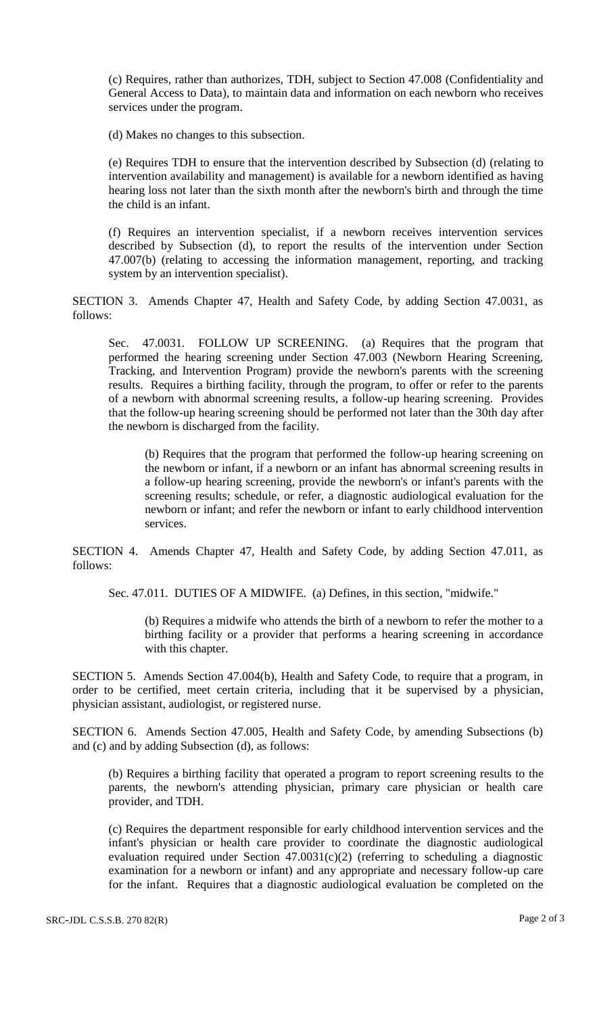(c) Requires, rather than authorizes, TDH, subject to Section 47.008 (Confidentiality and General Access to Data), to maintain data and information on each newborn who receives services under the program.

(d) Makes no changes to this subsection.

(e) Requires TDH to ensure that the intervention described by Subsection (d) (relating to intervention availability and management) is available for a newborn identified as having hearing loss not later than the sixth month after the newborn's birth and through the time the child is an infant.

(f) Requires an intervention specialist, if a newborn receives intervention services described by Subsection (d), to report the results of the intervention under Section 47.007(b) (relating to accessing the information management, reporting, and tracking system by an intervention specialist).

SECTION 3. Amends Chapter 47, Health and Safety Code, by adding Section 47.0031, as follows:

Sec. 47.0031. FOLLOW UP SCREENING. (a) Requires that the program that performed the hearing screening under Section 47.003 (Newborn Hearing Screening, Tracking, and Intervention Program) provide the newborn's parents with the screening results. Requires a birthing facility, through the program, to offer or refer to the parents of a newborn with abnormal screening results, a follow-up hearing screening. Provides that the follow-up hearing screening should be performed not later than the 30th day after the newborn is discharged from the facility.

(b) Requires that the program that performed the follow-up hearing screening on the newborn or infant, if a newborn or an infant has abnormal screening results in a follow-up hearing screening, provide the newborn's or infant's parents with the screening results; schedule, or refer, a diagnostic audiological evaluation for the newborn or infant; and refer the newborn or infant to early childhood intervention services.

SECTION 4. Amends Chapter 47, Health and Safety Code, by adding Section 47.011, as follows:

Sec. 47.011. DUTIES OF A MIDWIFE. (a) Defines, in this section, "midwife."

(b) Requires a midwife who attends the birth of a newborn to refer the mother to a birthing facility or a provider that performs a hearing screening in accordance with this chapter.

SECTION 5. Amends Section 47.004(b), Health and Safety Code, to require that a program, in order to be certified, meet certain criteria, including that it be supervised by a physician, physician assistant, audiologist, or registered nurse.

SECTION 6. Amends Section 47.005, Health and Safety Code, by amending Subsections (b) and (c) and by adding Subsection (d), as follows:

(b) Requires a birthing facility that operated a program to report screening results to the parents, the newborn's attending physician, primary care physician or health care provider, and TDH.

(c) Requires the department responsible for early childhood intervention services and the infant's physician or health care provider to coordinate the diagnostic audiological evaluation required under Section  $47.0031(c)(2)$  (referring to scheduling a diagnostic examination for a newborn or infant) and any appropriate and necessary follow-up care for the infant. Requires that a diagnostic audiological evaluation be completed on the